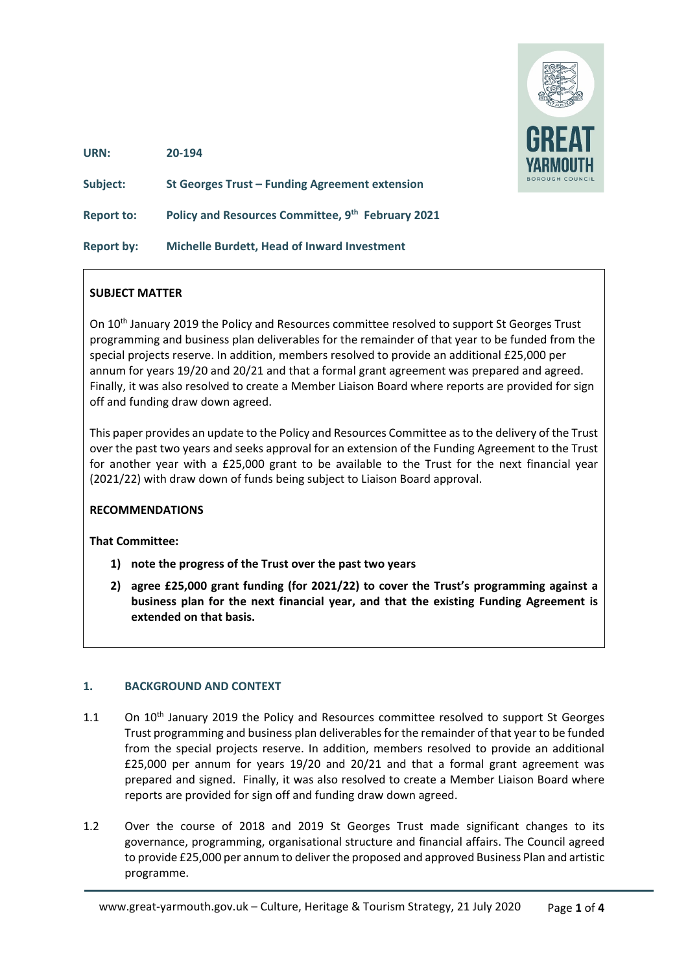

**URN: 20-194**

**Subject: St Georges Trust – Funding Agreement extension Report to: Policy and Resources Committee, 9th February 2021 Report by: Michelle Burdett, Head of Inward Investment** 

#### **SUBJECT MATTER**

On 10th January 2019 the Policy and Resources committee resolved to support St Georges Trust programming and business plan deliverables for the remainder of that year to be funded from the special projects reserve. In addition, members resolved to provide an additional £25,000 per annum for years 19/20 and 20/21 and that a formal grant agreement was prepared and agreed. Finally, it was also resolved to create a Member Liaison Board where reports are provided for sign off and funding draw down agreed.

This paper provides an update to the Policy and Resources Committee as to the delivery of the Trust over the past two years and seeks approval for an extension of the Funding Agreement to the Trust for another year with a £25,000 grant to be available to the Trust for the next financial year (2021/22) with draw down of funds being subject to Liaison Board approval.

#### **RECOMMENDATIONS**

#### **That Committee:**

- **1) note the progress of the Trust over the past two years**
- **2) agree £25,000 grant funding (for 2021/22) to cover the Trust's programming against a business plan for the next financial year, and that the existing Funding Agreement is extended on that basis.**

#### **1. BACKGROUND AND CONTEXT**

- 1.1 On 10<sup>th</sup> January 2019 the Policy and Resources committee resolved to support St Georges Trust programming and business plan deliverablesfor the remainder of that year to be funded from the special projects reserve. In addition, members resolved to provide an additional £25,000 per annum for years 19/20 and 20/21 and that a formal grant agreement was prepared and signed. Finally, it was also resolved to create a Member Liaison Board where reports are provided for sign off and funding draw down agreed.
- 1.2 Over the course of 2018 and 2019 St Georges Trust made significant changes to its governance, programming, organisational structure and financial affairs. The Council agreed to provide £25,000 per annum to deliver the proposed and approved Business Plan and artistic programme.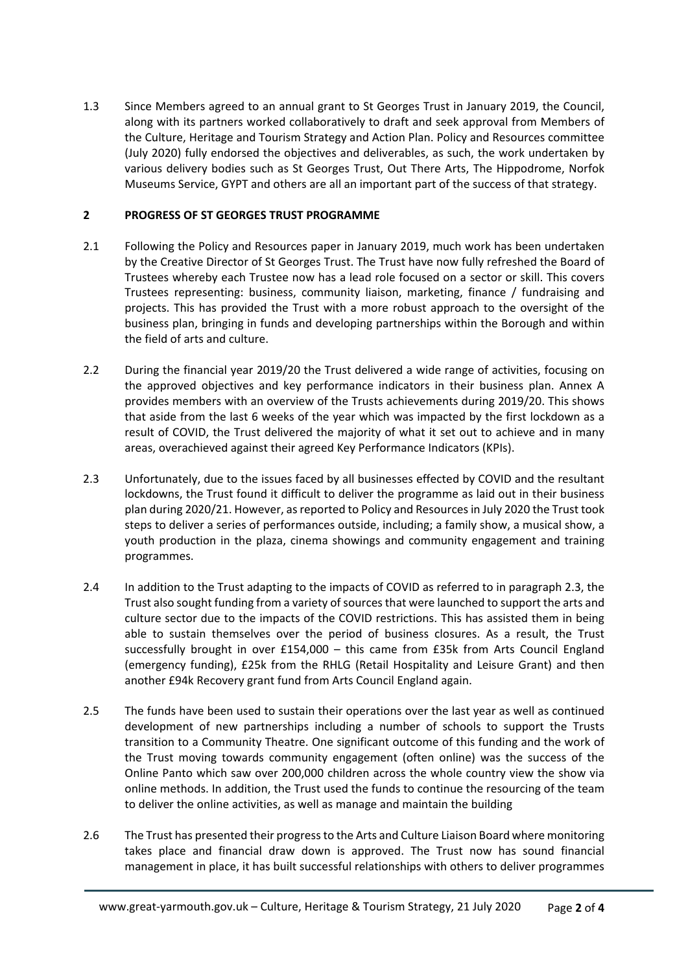1.3 Since Members agreed to an annual grant to St Georges Trust in January 2019, the Council, along with its partners worked collaboratively to draft and seek approval from Members of the Culture, Heritage and Tourism Strategy and Action Plan. Policy and Resources committee (July 2020) fully endorsed the objectives and deliverables, as such, the work undertaken by various delivery bodies such as St Georges Trust, Out There Arts, The Hippodrome, Norfok Museums Service, GYPT and others are all an important part of the success of that strategy.

#### **2 PROGRESS OF ST GEORGES TRUST PROGRAMME**

- 2.1 Following the Policy and Resources paper in January 2019, much work has been undertaken by the Creative Director of St Georges Trust. The Trust have now fully refreshed the Board of Trustees whereby each Trustee now has a lead role focused on a sector or skill. This covers Trustees representing: business, community liaison, marketing, finance / fundraising and projects. This has provided the Trust with a more robust approach to the oversight of the business plan, bringing in funds and developing partnerships within the Borough and within the field of arts and culture.
- 2.2 During the financial year 2019/20 the Trust delivered a wide range of activities, focusing on the approved objectives and key performance indicators in their business plan. Annex A provides members with an overview of the Trusts achievements during 2019/20. This shows that aside from the last 6 weeks of the year which was impacted by the first lockdown as a result of COVID, the Trust delivered the majority of what it set out to achieve and in many areas, overachieved against their agreed Key Performance Indicators (KPIs).
- 2.3 Unfortunately, due to the issues faced by all businesses effected by COVID and the resultant lockdowns, the Trust found it difficult to deliver the programme as laid out in their business plan during 2020/21. However, as reported to Policy and Resources in July 2020 the Trust took steps to deliver a series of performances outside, including; a family show, a musical show, a youth production in the plaza, cinema showings and community engagement and training programmes.
- 2.4 In addition to the Trust adapting to the impacts of COVID as referred to in paragraph 2.3, the Trust also sought funding from a variety of sources that were launched to support the arts and culture sector due to the impacts of the COVID restrictions. This has assisted them in being able to sustain themselves over the period of business closures. As a result, the Trust successfully brought in over £154,000 – this came from £35k from Arts Council England (emergency funding), £25k from the RHLG (Retail Hospitality and Leisure Grant) and then another £94k Recovery grant fund from Arts Council England again.
- 2.5 The funds have been used to sustain their operations over the last year as well as continued development of new partnerships including a number of schools to support the Trusts transition to a Community Theatre. One significant outcome of this funding and the work of the Trust moving towards community engagement (often online) was the success of the Online Panto which saw over 200,000 children across the whole country view the show via online methods. In addition, the Trust used the funds to continue the resourcing of the team to deliver the online activities, as well as manage and maintain the building
- 2.6 The Trust has presented their progress to the Arts and Culture Liaison Board where monitoring takes place and financial draw down is approved. The Trust now has sound financial management in place, it has built successful relationships with others to deliver programmes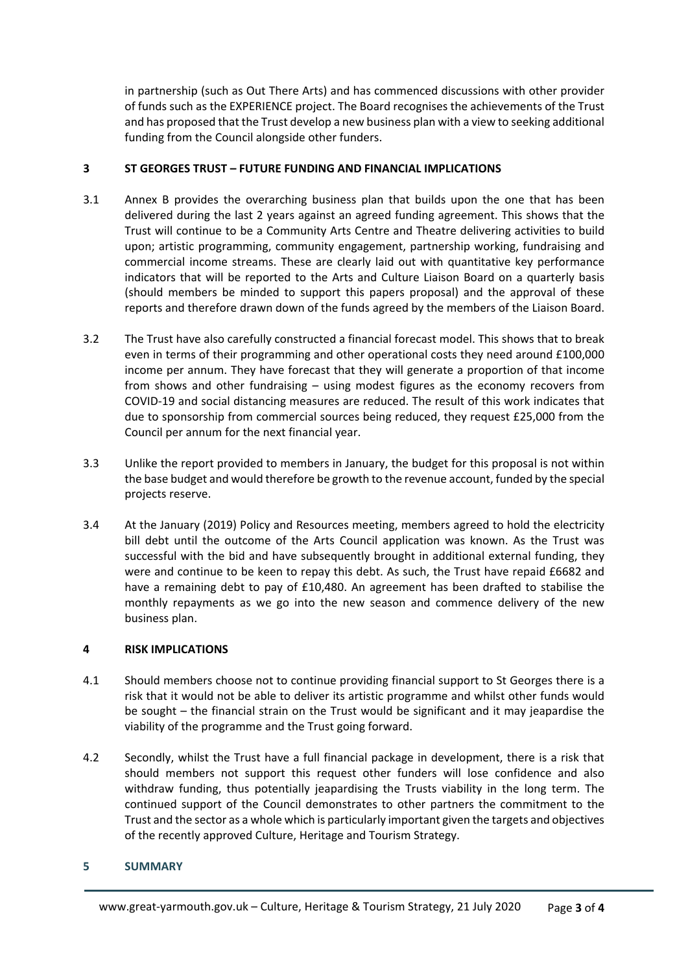in partnership (such as Out There Arts) and has commenced discussions with other provider of funds such as the EXPERIENCE project. The Board recognises the achievements of the Trust and has proposed that the Trust develop a new business plan with a view to seeking additional funding from the Council alongside other funders.

#### **3 ST GEORGES TRUST – FUTURE FUNDING AND FINANCIAL IMPLICATIONS**

- 3.1 Annex B provides the overarching business plan that builds upon the one that has been delivered during the last 2 years against an agreed funding agreement. This shows that the Trust will continue to be a Community Arts Centre and Theatre delivering activities to build upon; artistic programming, community engagement, partnership working, fundraising and commercial income streams. These are clearly laid out with quantitative key performance indicators that will be reported to the Arts and Culture Liaison Board on a quarterly basis (should members be minded to support this papers proposal) and the approval of these reports and therefore drawn down of the funds agreed by the members of the Liaison Board.
- 3.2 The Trust have also carefully constructed a financial forecast model. This shows that to break even in terms of their programming and other operational costs they need around £100,000 income per annum. They have forecast that they will generate a proportion of that income from shows and other fundraising – using modest figures as the economy recovers from COVID-19 and social distancing measures are reduced. The result of this work indicates that due to sponsorship from commercial sources being reduced, they request £25,000 from the Council per annum for the next financial year.
- 3.3 Unlike the report provided to members in January, the budget for this proposal is not within the base budget and would therefore be growth to the revenue account, funded by the special projects reserve.
- 3.4 At the January (2019) Policy and Resources meeting, members agreed to hold the electricity bill debt until the outcome of the Arts Council application was known. As the Trust was successful with the bid and have subsequently brought in additional external funding, they were and continue to be keen to repay this debt. As such, the Trust have repaid £6682 and have a remaining debt to pay of £10,480. An agreement has been drafted to stabilise the monthly repayments as we go into the new season and commence delivery of the new business plan.

#### **4 RISK IMPLICATIONS**

- 4.1 Should members choose not to continue providing financial support to St Georges there is a risk that it would not be able to deliver its artistic programme and whilst other funds would be sought – the financial strain on the Trust would be significant and it may jeapardise the viability of the programme and the Trust going forward.
- 4.2 Secondly, whilst the Trust have a full financial package in development, there is a risk that should members not support this request other funders will lose confidence and also withdraw funding, thus potentially jeapardising the Trusts viability in the long term. The continued support of the Council demonstrates to other partners the commitment to the Trust and the sector as a whole which is particularly important given the targets and objectives of the recently approved Culture, Heritage and Tourism Strategy.

#### **5 SUMMARY**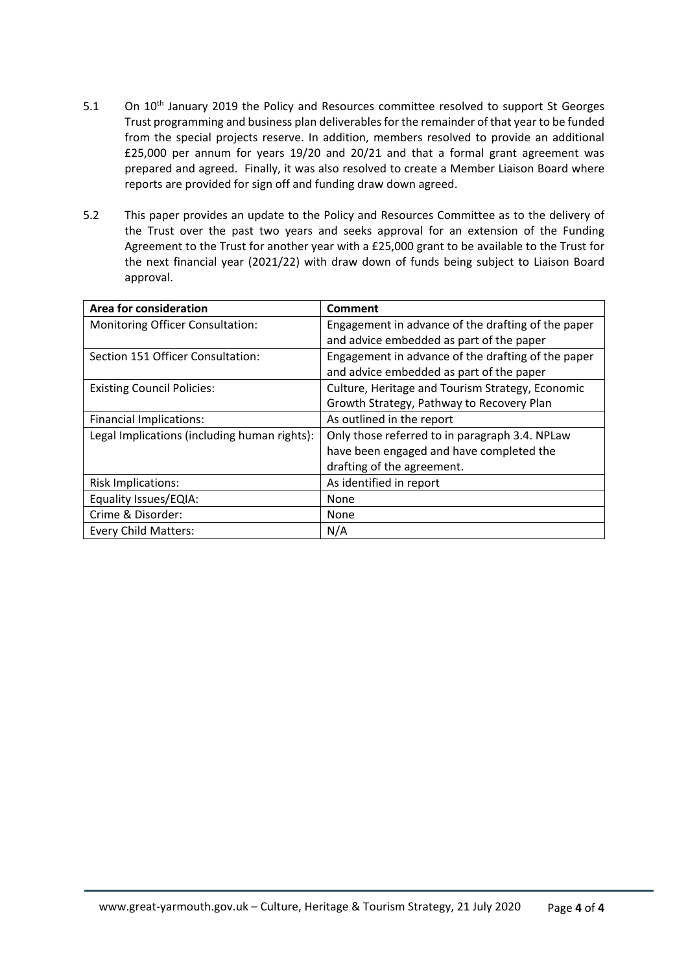- 5.1 On 10<sup>th</sup> January 2019 the Policy and Resources committee resolved to support St Georges Trust programming and business plan deliverablesfor the remainder of that year to be funded from the special projects reserve. In addition, members resolved to provide an additional £25,000 per annum for years 19/20 and 20/21 and that a formal grant agreement was prepared and agreed. Finally, it was also resolved to create a Member Liaison Board where reports are provided for sign off and funding draw down agreed.
- 5.2 This paper provides an update to the Policy and Resources Committee as to the delivery of the Trust over the past two years and seeks approval for an extension of the Funding Agreement to the Trust for another year with a £25,000 grant to be available to the Trust for the next financial year (2021/22) with draw down of funds being subject to Liaison Board approval.

| Area for consideration                       | <b>Comment</b>                                     |  |
|----------------------------------------------|----------------------------------------------------|--|
| Monitoring Officer Consultation:             | Engagement in advance of the drafting of the paper |  |
|                                              | and advice embedded as part of the paper           |  |
| Section 151 Officer Consultation:            | Engagement in advance of the drafting of the paper |  |
|                                              | and advice embedded as part of the paper           |  |
| <b>Existing Council Policies:</b>            | Culture, Heritage and Tourism Strategy, Economic   |  |
|                                              | Growth Strategy, Pathway to Recovery Plan          |  |
| <b>Financial Implications:</b>               | As outlined in the report                          |  |
| Legal Implications (including human rights): | Only those referred to in paragraph 3.4. NPLaw     |  |
|                                              | have been engaged and have completed the           |  |
|                                              | drafting of the agreement.                         |  |
| <b>Risk Implications:</b>                    | As identified in report                            |  |
| Equality Issues/EQIA:                        | None                                               |  |
| Crime & Disorder:                            | None                                               |  |
| <b>Every Child Matters:</b>                  | N/A                                                |  |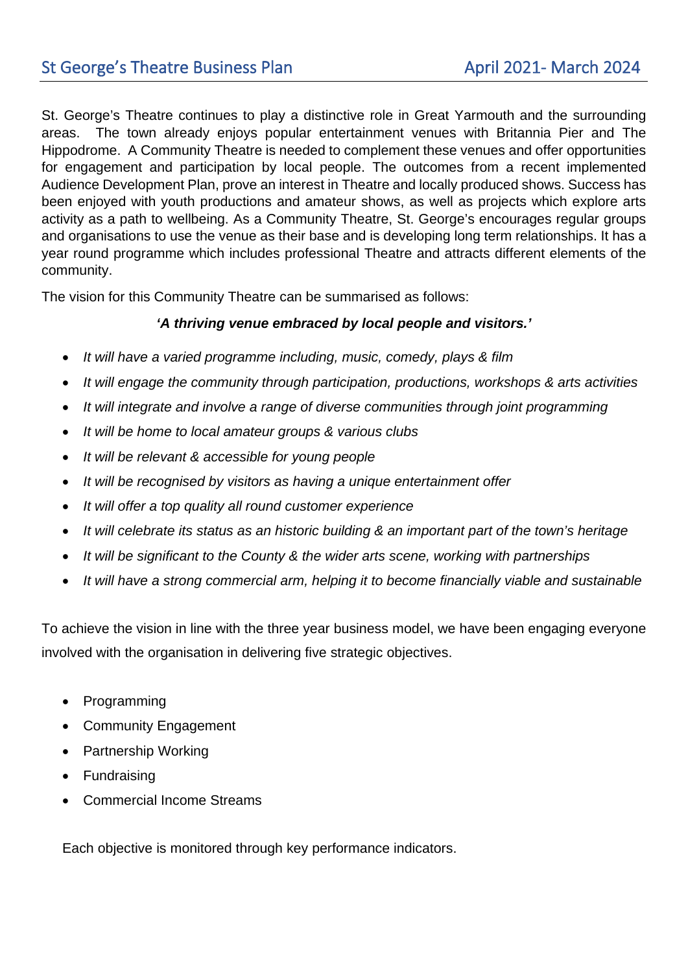St. George's Theatre continues to play a distinctive role in Great Yarmouth and the surrounding areas. The town already enjoys popular entertainment venues with Britannia Pier and The Hippodrome. A Community Theatre is needed to complement these venues and offer opportunities for engagement and participation by local people. The outcomes from a recent implemented Audience Development Plan, prove an interest in Theatre and locally produced shows. Success has been enjoyed with youth productions and amateur shows, as well as projects which explore arts activity as a path to wellbeing. As a Community Theatre, St. George's encourages regular groups and organisations to use the venue as their base and is developing long term relationships. It has a year round programme which includes professional Theatre and attracts different elements of the community.

The vision for this Community Theatre can be summarised as follows:

## *'A thriving venue embraced by local people and visitors.'*

- *It will have a varied programme including, music, comedy, plays & film*
- *It will engage the community through participation, productions, workshops & arts activities*
- *It will integrate and involve a range of diverse communities through joint programming*
- *It will be home to local amateur groups & various clubs*
- *It will be relevant & accessible for young people*
- *It will be recognised by visitors as having a unique entertainment offer*
- *It will offer a top quality all round customer experience*
- *It will celebrate its status as an historic building & an important part of the town's heritage*
- *It will be significant to the County & the wider arts scene, working with partnerships*
- *It will have a strong commercial arm, helping it to become financially viable and sustainable*

To achieve the vision in line with the three year business model, we have been engaging everyone involved with the organisation in delivering five strategic objectives.

- Programming
- Community Engagement
- Partnership Working
- Fundraising
- Commercial Income Streams

Each objective is monitored through key performance indicators.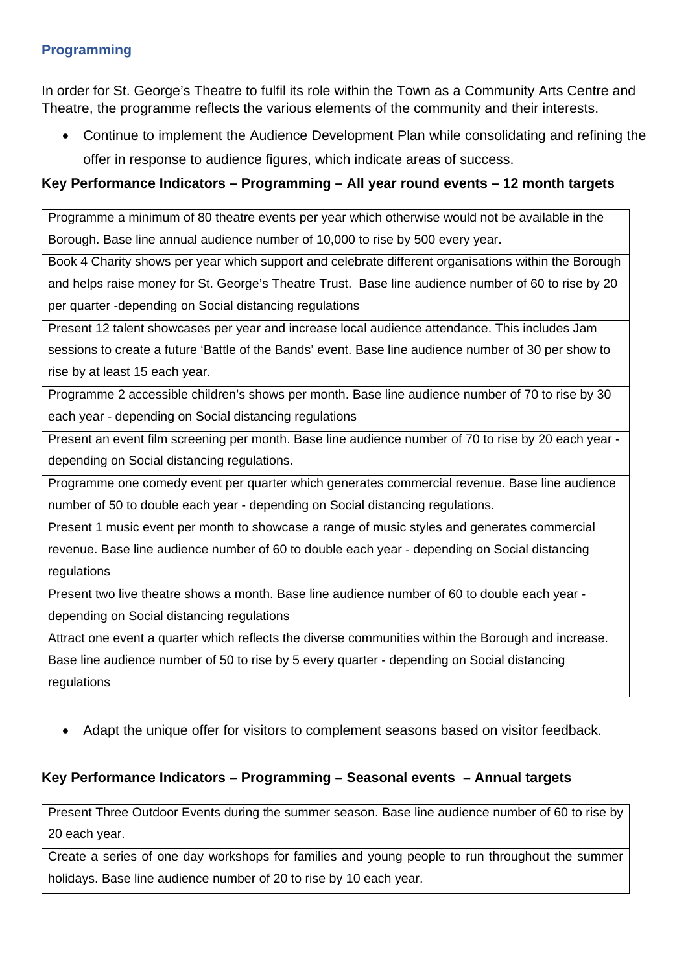#### **Programming**

In order for St. George's Theatre to fulfil its role within the Town as a Community Arts Centre and Theatre, the programme reflects the various elements of the community and their interests.

• Continue to implement the Audience Development Plan while consolidating and refining the offer in response to audience figures, which indicate areas of success.

## **Key Performance Indicators – Programming – All year round events – 12 month targets**

Programme a minimum of 80 theatre events per year which otherwise would not be available in the Borough. Base line annual audience number of 10,000 to rise by 500 every year.

Book 4 Charity shows per year which support and celebrate different organisations within the Borough and helps raise money for St. George's Theatre Trust. Base line audience number of 60 to rise by 20 per quarter -depending on Social distancing regulations

Present 12 talent showcases per year and increase local audience attendance. This includes Jam sessions to create a future 'Battle of the Bands' event. Base line audience number of 30 per show to rise by at least 15 each year.

Programme 2 accessible children's shows per month. Base line audience number of 70 to rise by 30 each year - depending on Social distancing regulations

Present an event film screening per month. Base line audience number of 70 to rise by 20 each year depending on Social distancing regulations.

Programme one comedy event per quarter which generates commercial revenue. Base line audience number of 50 to double each year - depending on Social distancing regulations.

Present 1 music event per month to showcase a range of music styles and generates commercial revenue. Base line audience number of 60 to double each year - depending on Social distancing regulations

Present two live theatre shows a month. Base line audience number of 60 to double each year -

depending on Social distancing regulations

Attract one event a quarter which reflects the diverse communities within the Borough and increase. Base line audience number of 50 to rise by 5 every quarter - depending on Social distancing regulations

• Adapt the unique offer for visitors to complement seasons based on visitor feedback.

# **Key Performance Indicators – Programming – Seasonal events – Annual targets**

Present Three Outdoor Events during the summer season. Base line audience number of 60 to rise by 20 each year.

Create a series of one day workshops for families and young people to run throughout the summer holidays. Base line audience number of 20 to rise by 10 each year.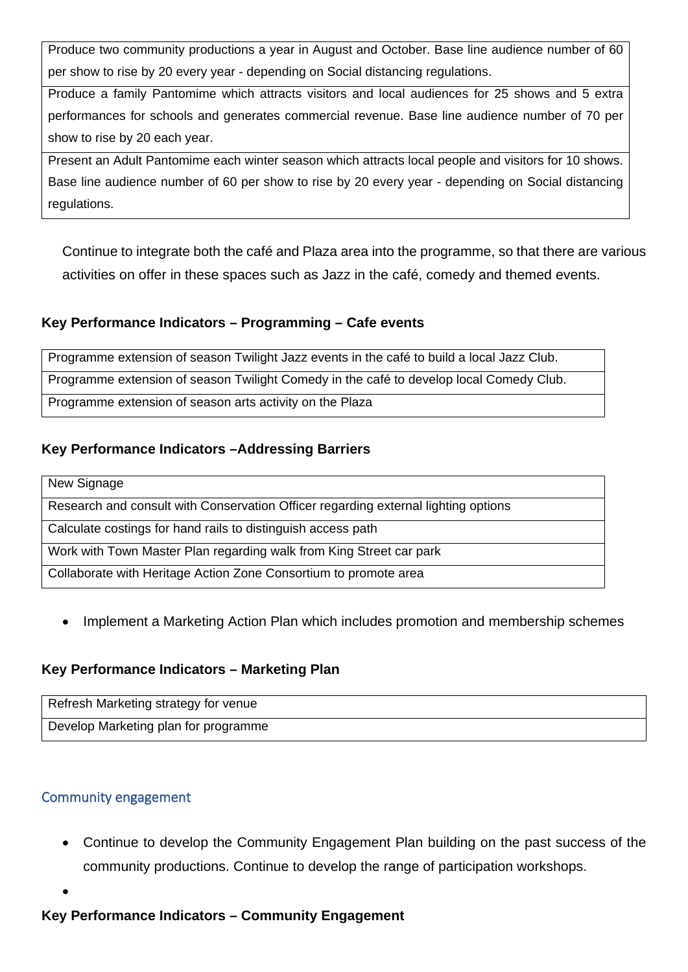Produce two community productions a year in August and October. Base line audience number of 60 per show to rise by 20 every year - depending on Social distancing regulations.

Produce a family Pantomime which attracts visitors and local audiences for 25 shows and 5 extra performances for schools and generates commercial revenue. Base line audience number of 70 per show to rise by 20 each year.

Present an Adult Pantomime each winter season which attracts local people and visitors for 10 shows. Base line audience number of 60 per show to rise by 20 every year - depending on Social distancing regulations.

Continue to integrate both the café and Plaza area into the programme, so that there are various activities on offer in these spaces such as Jazz in the café, comedy and themed events.

## **Key Performance Indicators – Programming – Cafe events**

Programme extension of season Twilight Jazz events in the café to build a local Jazz Club.

Programme extension of season Twilight Comedy in the café to develop local Comedy Club.

Programme extension of season arts activity on the Plaza

# **Key Performance Indicators –Addressing Barriers**

New Signage

Research and consult with Conservation Officer regarding external lighting options

Calculate costings for hand rails to distinguish access path

Work with Town Master Plan regarding walk from King Street car park

Collaborate with Heritage Action Zone Consortium to promote area

• Implement a Marketing Action Plan which includes promotion and membership schemes

# **Key Performance Indicators – Marketing Plan**

Refresh Marketing strategy for venue Develop Marketing plan for programme

# Community engagement

- Continue to develop the Community Engagement Plan building on the past success of the community productions. Continue to develop the range of participation workshops.
- •

# **Key Performance Indicators – Community Engagement**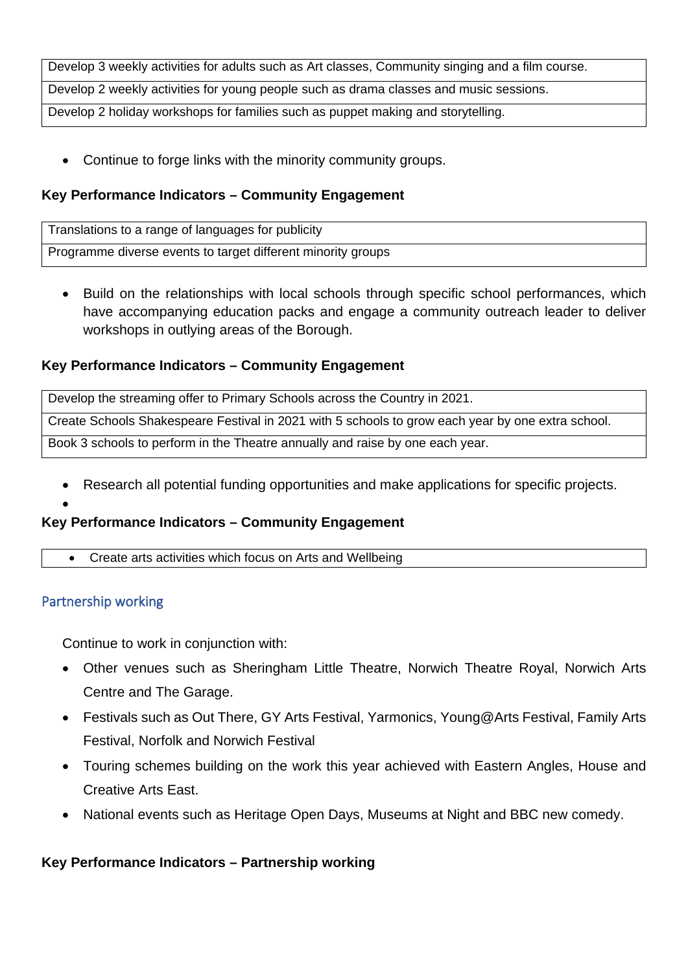Develop 3 weekly activities for adults such as Art classes, Community singing and a film course.

Develop 2 weekly activities for young people such as drama classes and music sessions.

Develop 2 holiday workshops for families such as puppet making and storytelling.

Continue to forge links with the minority community groups.

#### **Key Performance Indicators – Community Engagement**

Translations to a range of languages for publicity

Programme diverse events to target different minority groups

• Build on the relationships with local schools through specific school performances, which have accompanying education packs and engage a community outreach leader to deliver workshops in outlying areas of the Borough.

#### **Key Performance Indicators – Community Engagement**

Develop the streaming offer to Primary Schools across the Country in 2021.

Create Schools Shakespeare Festival in 2021 with 5 schools to grow each year by one extra school.

Book 3 schools to perform in the Theatre annually and raise by one each year.

• Research all potential funding opportunities and make applications for specific projects.

#### •

## **Key Performance Indicators – Community Engagement**

• Create arts activities which focus on Arts and Wellbeing

## Partnership working

Continue to work in conjunction with:

- Other venues such as Sheringham Little Theatre, Norwich Theatre Royal, Norwich Arts Centre and The Garage.
- Festivals such as Out There, GY Arts Festival, Yarmonics, Young@Arts Festival, Family Arts Festival, Norfolk and Norwich Festival
- Touring schemes building on the work this year achieved with Eastern Angles, House and Creative Arts East.
- National events such as Heritage Open Days, Museums at Night and BBC new comedy.

## **Key Performance Indicators – Partnership working**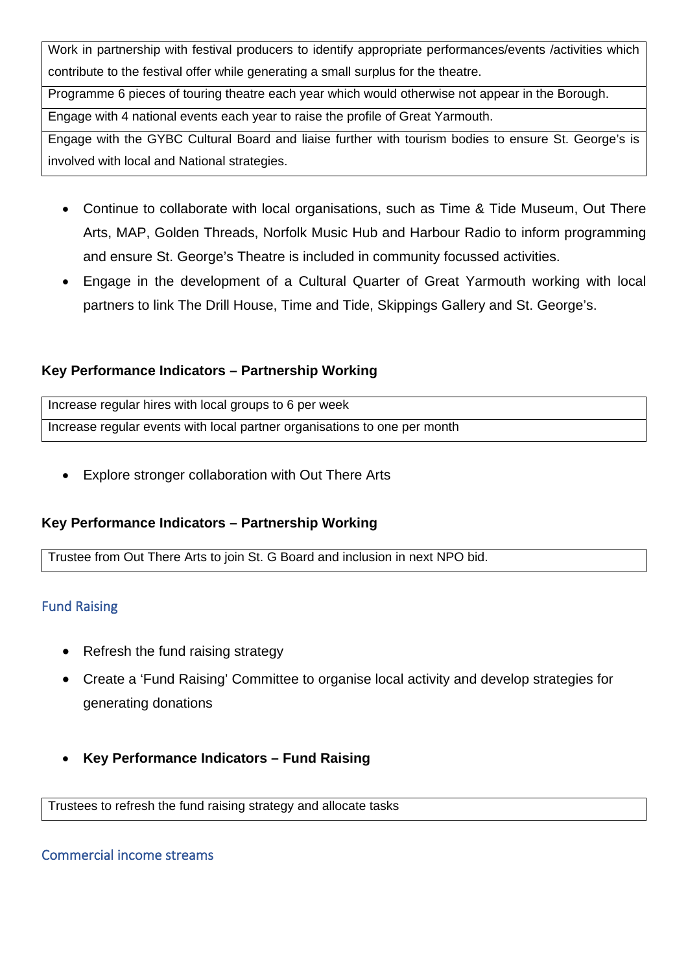Work in partnership with festival producers to identify appropriate performances/events /activities which contribute to the festival offer while generating a small surplus for the theatre.

Programme 6 pieces of touring theatre each year which would otherwise not appear in the Borough.

Engage with 4 national events each year to raise the profile of Great Yarmouth.

Engage with the GYBC Cultural Board and liaise further with tourism bodies to ensure St. George's is involved with local and National strategies.

- Continue to collaborate with local organisations, such as Time & Tide Museum, Out There Arts, MAP, Golden Threads, Norfolk Music Hub and Harbour Radio to inform programming and ensure St. George's Theatre is included in community focussed activities.
- Engage in the development of a Cultural Quarter of Great Yarmouth working with local partners to link The Drill House, Time and Tide, Skippings Gallery and St. George's.

## **Key Performance Indicators – Partnership Working**

Increase regular hires with local groups to 6 per week Increase regular events with local partner organisations to one per month

Explore stronger collaboration with Out There Arts

# **Key Performance Indicators – Partnership Working**

Trustee from Out There Arts to join St. G Board and inclusion in next NPO bid.

# Fund Raising

- Refresh the fund raising strategy
- Create a 'Fund Raising' Committee to organise local activity and develop strategies for generating donations
- **Key Performance Indicators – Fund Raising**

Trustees to refresh the fund raising strategy and allocate tasks

## Commercial income streams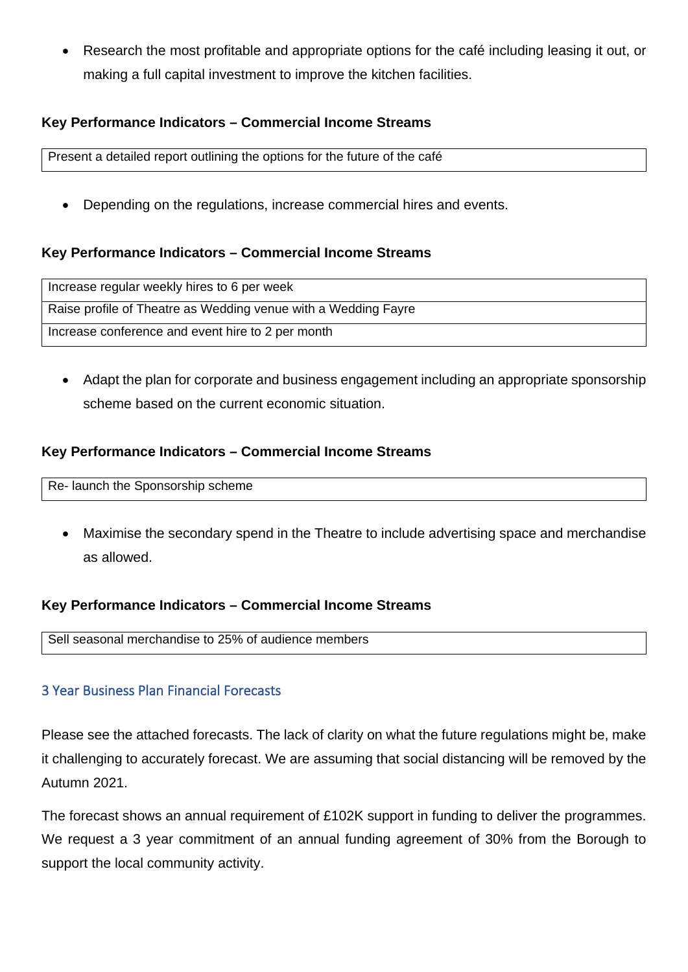• Research the most profitable and appropriate options for the café including leasing it out, or making a full capital investment to improve the kitchen facilities.

#### **Key Performance Indicators – Commercial Income Streams**

Present a detailed report outlining the options for the future of the café

• Depending on the regulations, increase commercial hires and events.

#### **Key Performance Indicators – Commercial Income Streams**

| Increase regular weekly hires to 6 per week                    |
|----------------------------------------------------------------|
| Raise profile of Theatre as Wedding venue with a Wedding Fayre |
| Increase conference and event hire to 2 per month              |

• Adapt the plan for corporate and business engagement including an appropriate sponsorship scheme based on the current economic situation.

#### **Key Performance Indicators – Commercial Income Streams**

Re- launch the Sponsorship scheme

• Maximise the secondary spend in the Theatre to include advertising space and merchandise as allowed.

#### **Key Performance Indicators – Commercial Income Streams**

Sell seasonal merchandise to 25% of audience members

# 3 Year Business Plan Financial Forecasts

Please see the attached forecasts. The lack of clarity on what the future regulations might be, make it challenging to accurately forecast. We are assuming that social distancing will be removed by the Autumn 2021.

The forecast shows an annual requirement of £102K support in funding to deliver the programmes. We request a 3 year commitment of an annual funding agreement of 30% from the Borough to support the local community activity.